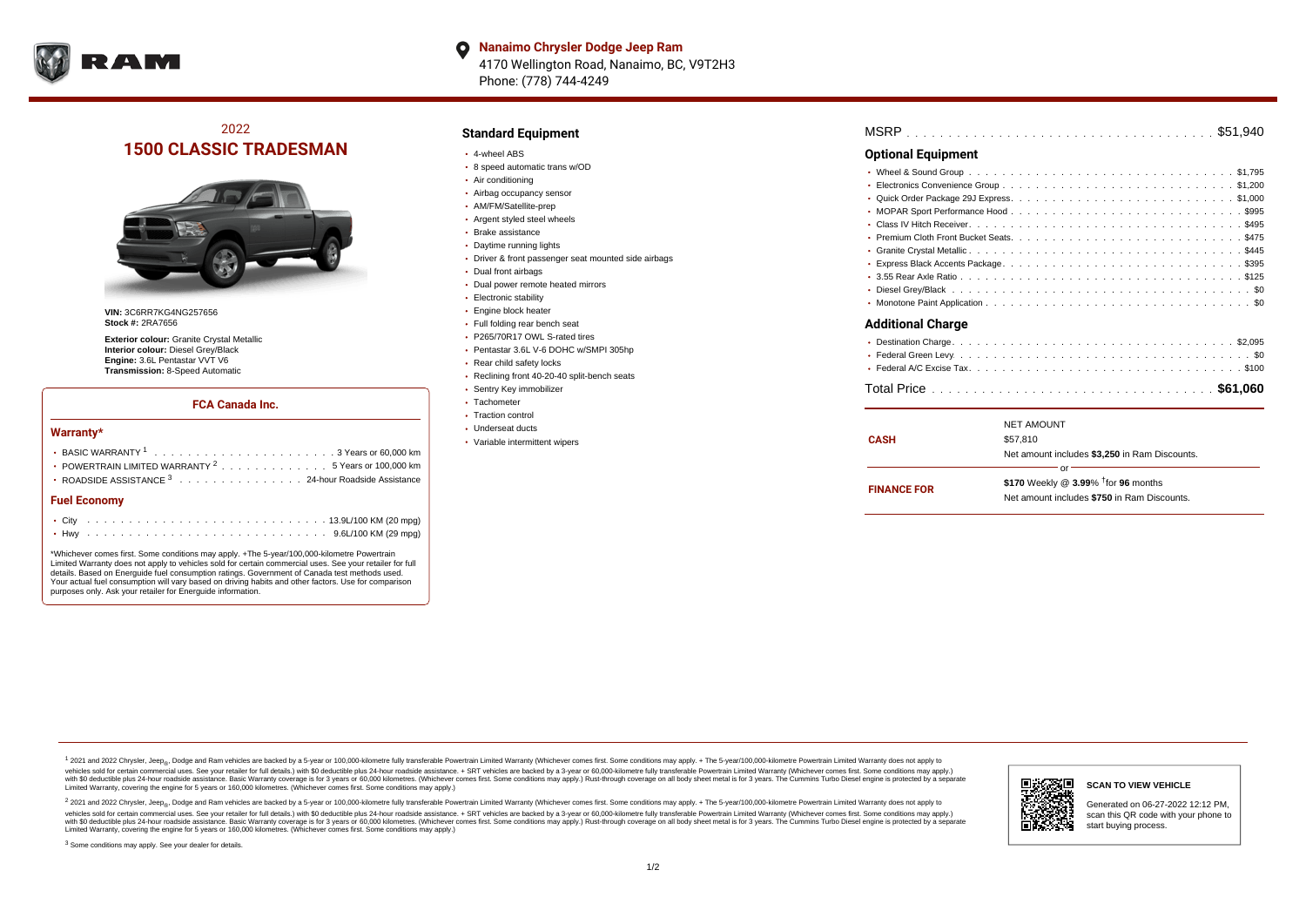

**Nanaimo Chrysler Dodge Jeep Ram**  $\bullet$ 4170 Wellington Road, Nanaimo, BC, V9T2H3 Phone: (778) 744-4249

## 2022 **1500 CLASSIC TRADESMAN**



**VIN:** 3C6RR7KG4NG257656 **Stock #:** 2RA7656

**Exterior colour:** Granite Crystal Metallic **Interior colour:** Diesel Grey/Black **Engine:** 3.6L Pentastar VVT V6 **Transmission:** 8-Speed Automatic

#### **FCA Canada Inc.**

#### **Warranty\***

| • POWERTRAIN LIMITED WARRANTY $2$ 5 Years or 100,000 km<br>• ROADSIDE ASSISTANCE 3 24-hour Roadside Assistance |  |  |  |  |  |  |  |  |  |  |  |  |  |  |  |  |  |  |  |  |
|----------------------------------------------------------------------------------------------------------------|--|--|--|--|--|--|--|--|--|--|--|--|--|--|--|--|--|--|--|--|
| <b>Fuel Economy</b>                                                                                            |  |  |  |  |  |  |  |  |  |  |  |  |  |  |  |  |  |  |  |  |
|                                                                                                                |  |  |  |  |  |  |  |  |  |  |  |  |  |  |  |  |  |  |  |  |
|                                                                                                                |  |  |  |  |  |  |  |  |  |  |  |  |  |  |  |  |  |  |  |  |

\*Whichever comes first. Some conditions may apply. +The 5-year/100,000-kilometre Powertrain Limited Warranty does not apply to vehicles sold for certain commercial uses. See your retailer for full details. Based on Energuide fuel consumption ratings. Government of Canada test methods used. Your actual fuel consumption will vary based on driving habits and other factors. Use for comparison purposes only. Ask your retailer for Energuide information.

### **Standard Equipment**

- 4-wheel ABS
- 8 speed automatic trans w/OD
- Air conditioning
- Airbag occupancy sensor
- AM/FM/Satellite-prep
- Argent styled steel wheels
- Brake assistance
- Daytime running lights
- Driver & front passenger seat mounted side airbags
- Dual front airbags
- Dual power remote heated mirrors
- Electronic stability
- Engine block heater
- Full folding rear bench seat
- P265/70R17 OWL S-rated tires
- Pentastar 3.6L V-6 DOHC w/SMPI 305hp
- Rear child safety locks
- Reclining front 40-20-40 split-bench seats
- Sentry Key immobilizer
- Tachometer
- Traction control Underseat ducts
- 
- Variable intermittent wipers

| <b>Optional Equipment</b> |  |
|---------------------------|--|
|                           |  |
|                           |  |
|                           |  |
|                           |  |
|                           |  |
|                           |  |
|                           |  |
|                           |  |

### **Additional Charge**

. . . . . . . . . . . . . . . . . . . . . . . . . . . . . . . . . . . . . . . . . . . . . . 3.55 Rear Axle Ratio \$125 . . . . . . . . . . . . . . . . . . . . . . . . . . . . . . . . . . . . . . . . . . . . . . Diesel Grey/Black \$0 . . . . . . . . . . . . . . . . . . . . . . . . . . . . . . . . . . . . . . . . . . . . . . Monotone Paint Application \$0

| CASH               | <b>NET AMOUNT</b><br>\$57,810<br>Net amount includes \$3,250 in Ram Discounts. |  |  |  |  |  |  |
|--------------------|--------------------------------------------------------------------------------|--|--|--|--|--|--|
| <b>FINANCE FOR</b> | or<br>\$170 Weekly @ $3.99\%$ <sup>†</sup> for 96 months                       |  |  |  |  |  |  |
|                    | Net amount includes \$750 in Ram Discounts.                                    |  |  |  |  |  |  |

<sup>1</sup> 2021 and 2022 Chrysler, Jeep<sub>®</sub>, Dodge and Ram vehicles are backed by a 5-year or 100,000-kilometre fully transferable Powertrain Limited Warranty (Whichever comes first. Some conditions may apply. + The 5-year/100,000 debt of the Second relationship and property in the Second relations that with Soleculture and Second the Second relation of the Second relation of the Second relation of the Second relation of the Second relation of the S ventals assume that the control of the control of the control of the control of the control of the control of the control of the control of the control of the control of the control of the control of the control of the con Limited Warranty, covering the engine for 5 years or 160,000 kilometres. (Whichever comes first. Some conditions may apply.)

2 2021 and 2022 Chrysler, Jeep<sub>®</sub>, Dodge and Ram vehicles are backed by a 5-year or 100,000-kilometre fully transferable Powertrain Limited Warranty (Whichever comes first. Some conditions may apply. + The 5-year/100,000-k vehicles sold for certain commercial uses. See your retailer for full details.) with SO deductible plus 24-hour roadside assistance. + SRT vehicles are backed by a 3-year or 60.000-kilometre fully transferable Powertrain L with S0 deductible plus 24-hour roadside assistance. Basic Warranty coverage is for 3 years or 60,000 kilometres. (Whichever comes first. Some conditions may apply.) Rust-through coverage on all body sheet metal is for 3 y

<sup>3</sup> Some conditions may apply. See your dealer for details.



Generated on 06-27-2022 12:12 PM, scan this QR code with your phone to start buying process.